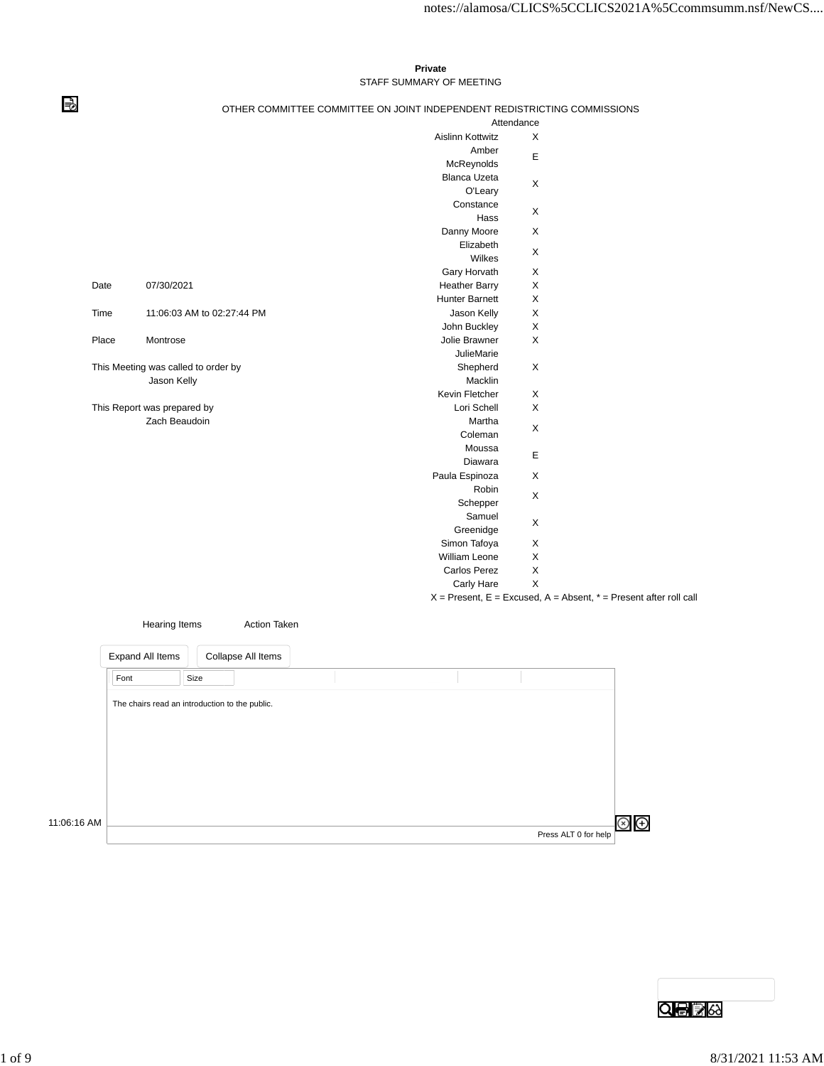## **Private** STAFF SUMMARY OF MEETING

## ⇛

## OTHER COMMITTEE COMMITTEE ON JOINT INDEPENDENT REDISTRICTING COMMISSIONS

|       |                                     |                         | Attendance  |                                                                           |
|-------|-------------------------------------|-------------------------|-------------|---------------------------------------------------------------------------|
|       |                                     | <b>Aislinn Kottwitz</b> | X           |                                                                           |
|       |                                     | Amber                   |             |                                                                           |
|       |                                     | McReynolds              | Е           |                                                                           |
|       |                                     | <b>Blanca Uzeta</b>     |             |                                                                           |
|       |                                     | O'Leary                 | X           |                                                                           |
|       |                                     | Constance               | X           |                                                                           |
|       |                                     | Hass                    |             |                                                                           |
|       |                                     | Danny Moore             | X           |                                                                           |
|       |                                     | Elizabeth               | X           |                                                                           |
|       |                                     | Wilkes                  |             |                                                                           |
|       |                                     | Gary Horvath            | X           |                                                                           |
| Date  | 07/30/2021                          | <b>Heather Barry</b>    | $\mathsf X$ |                                                                           |
|       |                                     | <b>Hunter Barnett</b>   | X           |                                                                           |
| Time  | 11:06:03 AM to 02:27:44 PM          | Jason Kelly             | X           |                                                                           |
|       |                                     | John Buckley            | X           |                                                                           |
| Place | Montrose                            | Jolie Brawner           | X           |                                                                           |
|       |                                     | <b>JulieMarie</b>       |             |                                                                           |
|       | This Meeting was called to order by | Shepherd                | X           |                                                                           |
|       | Jason Kelly                         | Macklin                 |             |                                                                           |
|       |                                     | Kevin Fletcher          | X           |                                                                           |
|       | This Report was prepared by         | Lori Schell             | X           |                                                                           |
|       | Zach Beaudoin                       | Martha                  | X           |                                                                           |
|       |                                     | Coleman                 |             |                                                                           |
|       |                                     | Moussa                  | Е           |                                                                           |
|       |                                     | Diawara                 |             |                                                                           |
|       |                                     | Paula Espinoza          | X           |                                                                           |
|       |                                     | Robin                   | X           |                                                                           |
|       |                                     | Schepper                |             |                                                                           |
|       |                                     | Samuel                  | X           |                                                                           |
|       |                                     | Greenidge               |             |                                                                           |
|       |                                     | Simon Tafoya            | X           |                                                                           |
|       |                                     | William Leone           | X           |                                                                           |
|       |                                     | <b>Carlos Perez</b>     | X           |                                                                           |
|       |                                     | Carly Hare              | X           |                                                                           |
|       |                                     |                         |             | $X =$ Present, $E =$ Excused, $A =$ Absent, $* =$ Present after roll call |

|             | Hearing Items    | <b>Action Taken</b>                            |  |                      |
|-------------|------------------|------------------------------------------------|--|----------------------|
|             | Expand All Items | Collapse All Items                             |  |                      |
|             | Font             | Size                                           |  |                      |
|             |                  | The chairs read an introduction to the public. |  |                      |
|             |                  |                                                |  |                      |
|             |                  |                                                |  |                      |
|             |                  |                                                |  |                      |
|             |                  |                                                |  |                      |
| 11:06:16 AM |                  |                                                |  |                      |
|             |                  |                                                |  | Press ALT 0 for help |

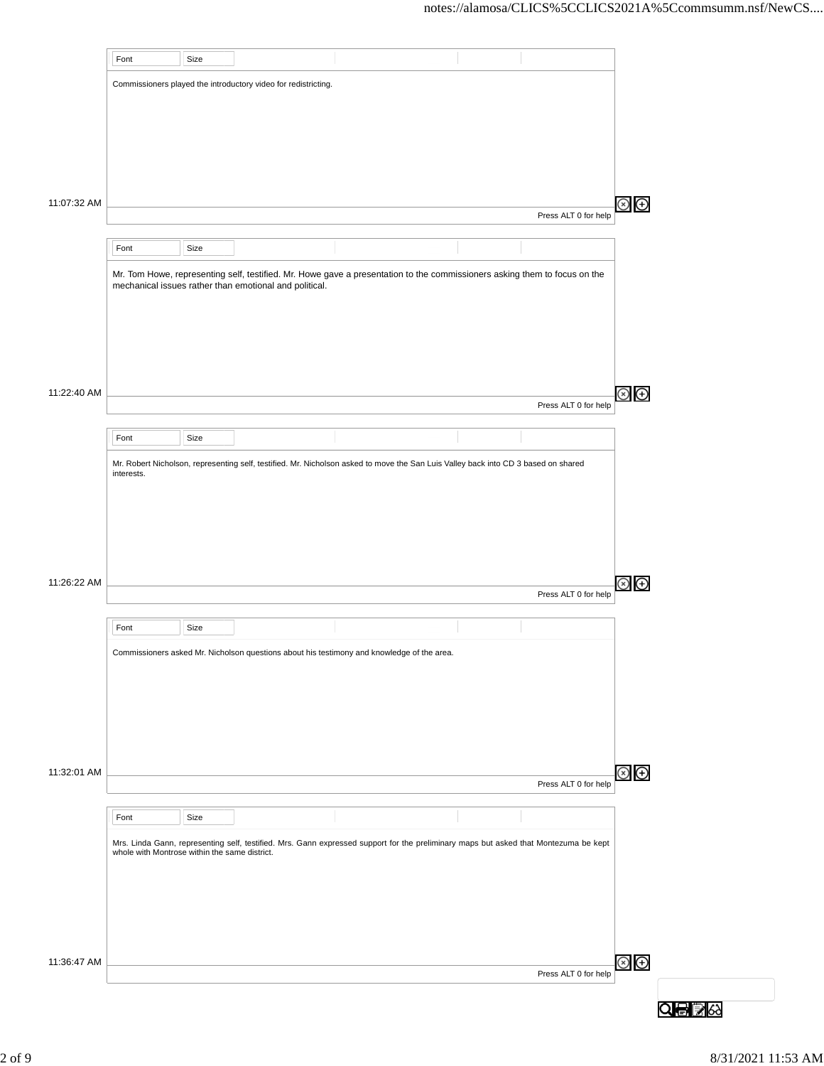|             | Font                                          | Size |                                                                |                                                                                                                                      |                      |                         |
|-------------|-----------------------------------------------|------|----------------------------------------------------------------|--------------------------------------------------------------------------------------------------------------------------------------|----------------------|-------------------------|
|             |                                               |      | Commissioners played the introductory video for redistricting. |                                                                                                                                      |                      |                         |
|             |                                               |      |                                                                |                                                                                                                                      |                      |                         |
|             |                                               |      |                                                                |                                                                                                                                      |                      |                         |
|             |                                               |      |                                                                |                                                                                                                                      |                      |                         |
|             |                                               |      |                                                                |                                                                                                                                      |                      |                         |
|             |                                               |      |                                                                |                                                                                                                                      |                      |                         |
| 11:07:32 AM |                                               |      |                                                                |                                                                                                                                      | Press ALT 0 for help | $\circledcirc$          |
|             |                                               |      |                                                                |                                                                                                                                      |                      |                         |
|             | Font                                          | Size |                                                                |                                                                                                                                      |                      |                         |
|             |                                               |      | mechanical issues rather than emotional and political.         | Mr. Tom Howe, representing self, testified. Mr. Howe gave a presentation to the commissioners asking them to focus on the            |                      |                         |
|             |                                               |      |                                                                |                                                                                                                                      |                      |                         |
|             |                                               |      |                                                                |                                                                                                                                      |                      |                         |
|             |                                               |      |                                                                |                                                                                                                                      |                      |                         |
|             |                                               |      |                                                                |                                                                                                                                      |                      |                         |
| 11:22:40 AM |                                               |      |                                                                |                                                                                                                                      |                      | $\circledcirc$ $\oplus$ |
|             |                                               |      |                                                                |                                                                                                                                      | Press ALT 0 for help |                         |
|             | Font                                          | Size |                                                                |                                                                                                                                      |                      |                         |
|             |                                               |      |                                                                | Mr. Robert Nicholson, representing self, testified. Mr. Nicholson asked to move the San Luis Valley back into CD 3 based on shared   |                      |                         |
|             | interests.                                    |      |                                                                |                                                                                                                                      |                      |                         |
|             |                                               |      |                                                                |                                                                                                                                      |                      |                         |
|             |                                               |      |                                                                |                                                                                                                                      |                      |                         |
|             |                                               |      |                                                                |                                                                                                                                      |                      |                         |
|             |                                               |      |                                                                |                                                                                                                                      |                      |                         |
| 11:26:22 AM |                                               |      |                                                                |                                                                                                                                      | Press ALT 0 for help | $\circledcirc$ $\oplus$ |
|             |                                               |      |                                                                |                                                                                                                                      |                      |                         |
|             | Font                                          | Size |                                                                |                                                                                                                                      |                      |                         |
|             |                                               |      |                                                                | Commissioners asked Mr. Nicholson questions about his testimony and knowledge of the area.                                           |                      |                         |
|             |                                               |      |                                                                |                                                                                                                                      |                      |                         |
|             |                                               |      |                                                                |                                                                                                                                      |                      |                         |
|             |                                               |      |                                                                |                                                                                                                                      |                      |                         |
|             |                                               |      |                                                                |                                                                                                                                      |                      |                         |
|             |                                               |      |                                                                |                                                                                                                                      |                      |                         |
| 11:32:01 AM |                                               |      |                                                                |                                                                                                                                      | Press ALT 0 for help | $\circledast$           |
|             |                                               |      |                                                                |                                                                                                                                      |                      |                         |
|             | Font                                          | Size |                                                                |                                                                                                                                      |                      |                         |
|             | whole with Montrose within the same district. |      |                                                                | Mrs. Linda Gann, representing self, testified. Mrs. Gann expressed support for the preliminary maps but asked that Montezuma be kept |                      |                         |
|             |                                               |      |                                                                |                                                                                                                                      |                      |                         |
|             |                                               |      |                                                                |                                                                                                                                      |                      |                         |
|             |                                               |      |                                                                |                                                                                                                                      |                      |                         |
|             |                                               |      |                                                                |                                                                                                                                      |                      |                         |
| 11:36:47 AM |                                               |      |                                                                |                                                                                                                                      |                      | $\circledast$           |
|             |                                               |      |                                                                |                                                                                                                                      | Press ALT 0 for help |                         |
|             |                                               |      |                                                                |                                                                                                                                      |                      | Q⊜I≩                    |
|             |                                               |      |                                                                |                                                                                                                                      |                      |                         |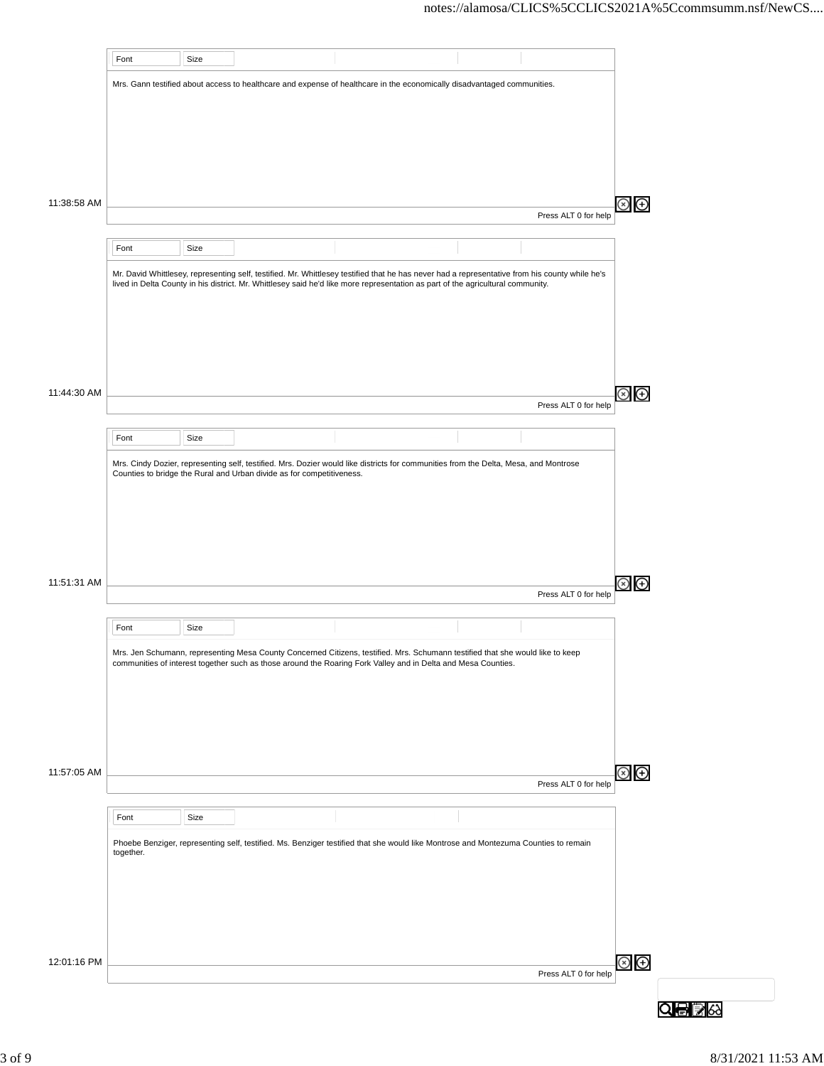|             | Font      | Size |                                                                       |                                                                                                                                                                                                                                                 |                      |                               |
|-------------|-----------|------|-----------------------------------------------------------------------|-------------------------------------------------------------------------------------------------------------------------------------------------------------------------------------------------------------------------------------------------|----------------------|-------------------------------|
|             |           |      |                                                                       | Mrs. Gann testified about access to healthcare and expense of healthcare in the economically disadvantaged communities.                                                                                                                         |                      |                               |
|             |           |      |                                                                       |                                                                                                                                                                                                                                                 |                      |                               |
|             |           |      |                                                                       |                                                                                                                                                                                                                                                 |                      |                               |
|             |           |      |                                                                       |                                                                                                                                                                                                                                                 |                      |                               |
|             |           |      |                                                                       |                                                                                                                                                                                                                                                 |                      |                               |
|             |           |      |                                                                       |                                                                                                                                                                                                                                                 |                      |                               |
|             |           |      |                                                                       |                                                                                                                                                                                                                                                 |                      |                               |
| 11:38:58 AM |           |      |                                                                       |                                                                                                                                                                                                                                                 | Press ALT 0 for help | $\oplus$<br>⊗                 |
|             |           |      |                                                                       |                                                                                                                                                                                                                                                 |                      |                               |
|             | Font      | Size |                                                                       |                                                                                                                                                                                                                                                 |                      |                               |
|             |           |      |                                                                       | Mr. David Whittlesey, representing self, testified. Mr. Whittlesey testified that he has never had a representative from his county while he's                                                                                                  |                      |                               |
|             |           |      |                                                                       | lived in Delta County in his district. Mr. Whittlesey said he'd like more representation as part of the agricultural community.                                                                                                                 |                      |                               |
|             |           |      |                                                                       |                                                                                                                                                                                                                                                 |                      |                               |
|             |           |      |                                                                       |                                                                                                                                                                                                                                                 |                      |                               |
|             |           |      |                                                                       |                                                                                                                                                                                                                                                 |                      |                               |
|             |           |      |                                                                       |                                                                                                                                                                                                                                                 |                      |                               |
|             |           |      |                                                                       |                                                                                                                                                                                                                                                 |                      |                               |
| 11:44:30 AM |           |      |                                                                       |                                                                                                                                                                                                                                                 |                      | $\circledast$ $\circledast$   |
|             |           |      |                                                                       |                                                                                                                                                                                                                                                 | Press ALT 0 for help |                               |
|             | Font      | Size |                                                                       |                                                                                                                                                                                                                                                 |                      |                               |
|             |           |      |                                                                       |                                                                                                                                                                                                                                                 |                      |                               |
|             |           |      | Counties to bridge the Rural and Urban divide as for competitiveness. | Mrs. Cindy Dozier, representing self, testified. Mrs. Dozier would like districts for communities from the Delta, Mesa, and Montrose                                                                                                            |                      |                               |
|             |           |      |                                                                       |                                                                                                                                                                                                                                                 |                      |                               |
|             |           |      |                                                                       |                                                                                                                                                                                                                                                 |                      |                               |
|             |           |      |                                                                       |                                                                                                                                                                                                                                                 |                      |                               |
|             |           |      |                                                                       |                                                                                                                                                                                                                                                 |                      |                               |
|             |           |      |                                                                       |                                                                                                                                                                                                                                                 |                      |                               |
| 11:51:31 AM |           |      |                                                                       |                                                                                                                                                                                                                                                 |                      | $\circledcirc$ $\circledcirc$ |
|             |           |      |                                                                       |                                                                                                                                                                                                                                                 | Press ALT 0 for help |                               |
|             | Font      | Size |                                                                       |                                                                                                                                                                                                                                                 |                      |                               |
|             |           |      |                                                                       |                                                                                                                                                                                                                                                 |                      |                               |
|             |           |      |                                                                       | Mrs. Jen Schumann, representing Mesa County Concerned Citizens, testified. Mrs. Schumann testified that she would like to keep<br>communities of interest together such as those around the Roaring Fork Valley and in Delta and Mesa Counties. |                      |                               |
|             |           |      |                                                                       |                                                                                                                                                                                                                                                 |                      |                               |
|             |           |      |                                                                       |                                                                                                                                                                                                                                                 |                      |                               |
|             |           |      |                                                                       |                                                                                                                                                                                                                                                 |                      |                               |
|             |           |      |                                                                       |                                                                                                                                                                                                                                                 |                      |                               |
|             |           |      |                                                                       |                                                                                                                                                                                                                                                 |                      |                               |
| 11:57:05 AM |           |      |                                                                       |                                                                                                                                                                                                                                                 |                      | $\circledcirc$                |
|             |           |      |                                                                       |                                                                                                                                                                                                                                                 | Press ALT 0 for help |                               |
|             |           |      |                                                                       |                                                                                                                                                                                                                                                 |                      |                               |
|             | Font      | Size |                                                                       |                                                                                                                                                                                                                                                 |                      |                               |
|             | together. |      |                                                                       | Phoebe Benziger, representing self, testified. Ms. Benziger testified that she would like Montrose and Montezuma Counties to remain                                                                                                             |                      |                               |
|             |           |      |                                                                       |                                                                                                                                                                                                                                                 |                      |                               |
|             |           |      |                                                                       |                                                                                                                                                                                                                                                 |                      |                               |
|             |           |      |                                                                       |                                                                                                                                                                                                                                                 |                      |                               |
|             |           |      |                                                                       |                                                                                                                                                                                                                                                 |                      |                               |
|             |           |      |                                                                       |                                                                                                                                                                                                                                                 |                      |                               |
| 12:01:16 PM |           |      |                                                                       |                                                                                                                                                                                                                                                 |                      | $\circledast$                 |
|             |           |      |                                                                       |                                                                                                                                                                                                                                                 | Press ALT 0 for help |                               |
|             |           |      |                                                                       |                                                                                                                                                                                                                                                 |                      |                               |
|             |           |      |                                                                       |                                                                                                                                                                                                                                                 |                      | QBE                           |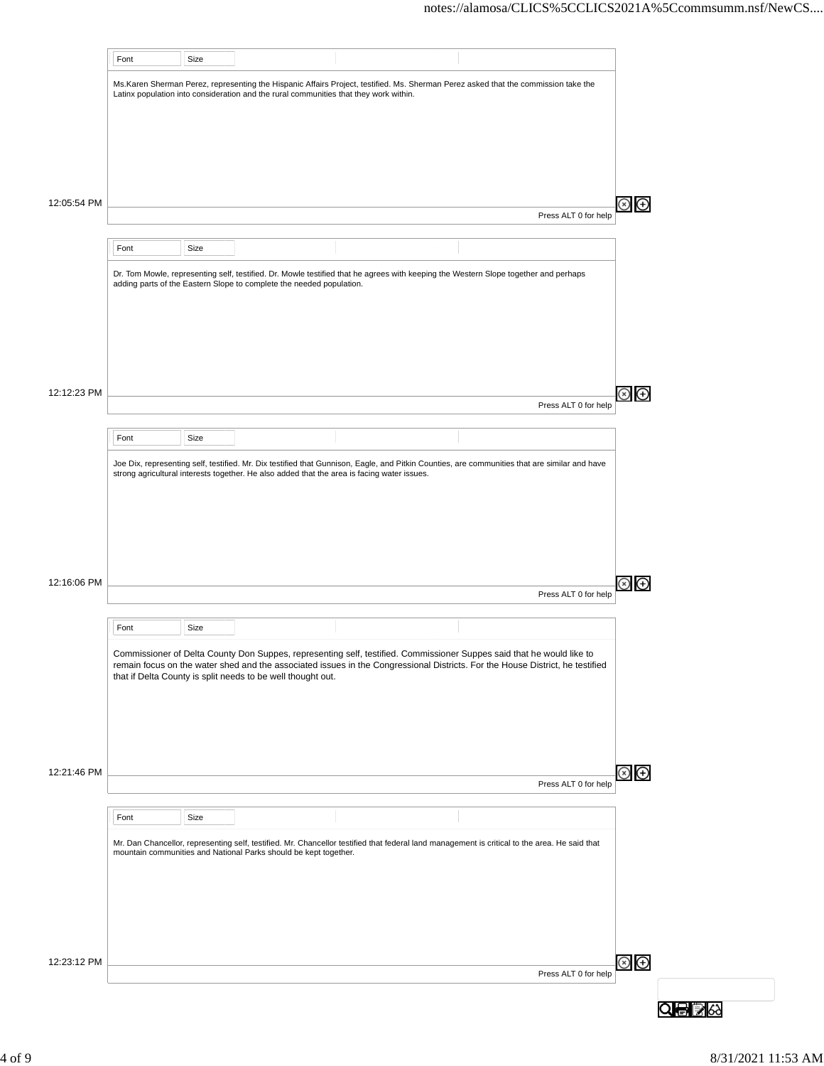|             | Font | Size |                                                                                       |                                                                                                                                                                                                                                                        |                      |               |
|-------------|------|------|---------------------------------------------------------------------------------------|--------------------------------------------------------------------------------------------------------------------------------------------------------------------------------------------------------------------------------------------------------|----------------------|---------------|
|             |      |      |                                                                                       | Ms.Karen Sherman Perez, representing the Hispanic Affairs Project, testified. Ms. Sherman Perez asked that the commission take the                                                                                                                     |                      |               |
|             |      |      | Latinx population into consideration and the rural communities that they work within. |                                                                                                                                                                                                                                                        |                      |               |
|             |      |      |                                                                                       |                                                                                                                                                                                                                                                        |                      |               |
|             |      |      |                                                                                       |                                                                                                                                                                                                                                                        |                      |               |
|             |      |      |                                                                                       |                                                                                                                                                                                                                                                        |                      |               |
|             |      |      |                                                                                       |                                                                                                                                                                                                                                                        |                      |               |
|             |      |      |                                                                                       |                                                                                                                                                                                                                                                        |                      |               |
| 12:05:54 PM |      |      |                                                                                       |                                                                                                                                                                                                                                                        |                      | Θ             |
|             |      |      |                                                                                       |                                                                                                                                                                                                                                                        | Press ALT 0 for help |               |
|             | Font | Size |                                                                                       |                                                                                                                                                                                                                                                        |                      |               |
|             |      |      |                                                                                       |                                                                                                                                                                                                                                                        |                      |               |
|             |      |      | adding parts of the Eastern Slope to complete the needed population.                  | Dr. Tom Mowle, representing self, testified. Dr. Mowle testified that he agrees with keeping the Western Slope together and perhaps                                                                                                                    |                      |               |
|             |      |      |                                                                                       |                                                                                                                                                                                                                                                        |                      |               |
|             |      |      |                                                                                       |                                                                                                                                                                                                                                                        |                      |               |
|             |      |      |                                                                                       |                                                                                                                                                                                                                                                        |                      |               |
|             |      |      |                                                                                       |                                                                                                                                                                                                                                                        |                      |               |
|             |      |      |                                                                                       |                                                                                                                                                                                                                                                        |                      |               |
|             |      |      |                                                                                       |                                                                                                                                                                                                                                                        |                      |               |
| 12:12:23 PM |      |      |                                                                                       |                                                                                                                                                                                                                                                        | Press ALT 0 for help | ⊕             |
|             |      |      |                                                                                       |                                                                                                                                                                                                                                                        |                      |               |
|             | Font | Size |                                                                                       |                                                                                                                                                                                                                                                        |                      |               |
|             |      |      |                                                                                       | Joe Dix, representing self, testified. Mr. Dix testified that Gunnison, Eagle, and Pitkin Counties, are communities that are similar and have                                                                                                          |                      |               |
|             |      |      |                                                                                       |                                                                                                                                                                                                                                                        |                      |               |
| 12:16:06 PM |      |      |                                                                                       |                                                                                                                                                                                                                                                        |                      | ⊕             |
|             |      |      |                                                                                       |                                                                                                                                                                                                                                                        | Press ALT 0 for help |               |
|             |      |      |                                                                                       |                                                                                                                                                                                                                                                        |                      |               |
|             | Font | Size |                                                                                       |                                                                                                                                                                                                                                                        |                      |               |
|             |      |      | that if Delta County is split needs to be well thought out.                           | Commissioner of Delta County Don Suppes, representing self, testified. Commissioner Suppes said that he would like to<br>remain focus on the water shed and the associated issues in the Congressional Districts. For the House District, he testified |                      |               |
| 12:21:46 PM |      |      |                                                                                       |                                                                                                                                                                                                                                                        |                      | $\odot$       |
|             |      |      |                                                                                       |                                                                                                                                                                                                                                                        | Press ALT 0 for help |               |
|             |      |      |                                                                                       |                                                                                                                                                                                                                                                        |                      |               |
|             | Font | Size |                                                                                       |                                                                                                                                                                                                                                                        |                      |               |
|             |      |      |                                                                                       | Mr. Dan Chancellor, representing self, testified. Mr. Chancellor testified that federal land management is critical to the area. He said that                                                                                                          |                      |               |
|             |      |      | mountain communities and National Parks should be kept together.                      |                                                                                                                                                                                                                                                        |                      |               |
| 12:23:12 PM |      |      |                                                                                       |                                                                                                                                                                                                                                                        |                      | $\circledast$ |
|             |      |      |                                                                                       |                                                                                                                                                                                                                                                        | Press ALT 0 for help |               |
|             |      |      |                                                                                       |                                                                                                                                                                                                                                                        |                      |               |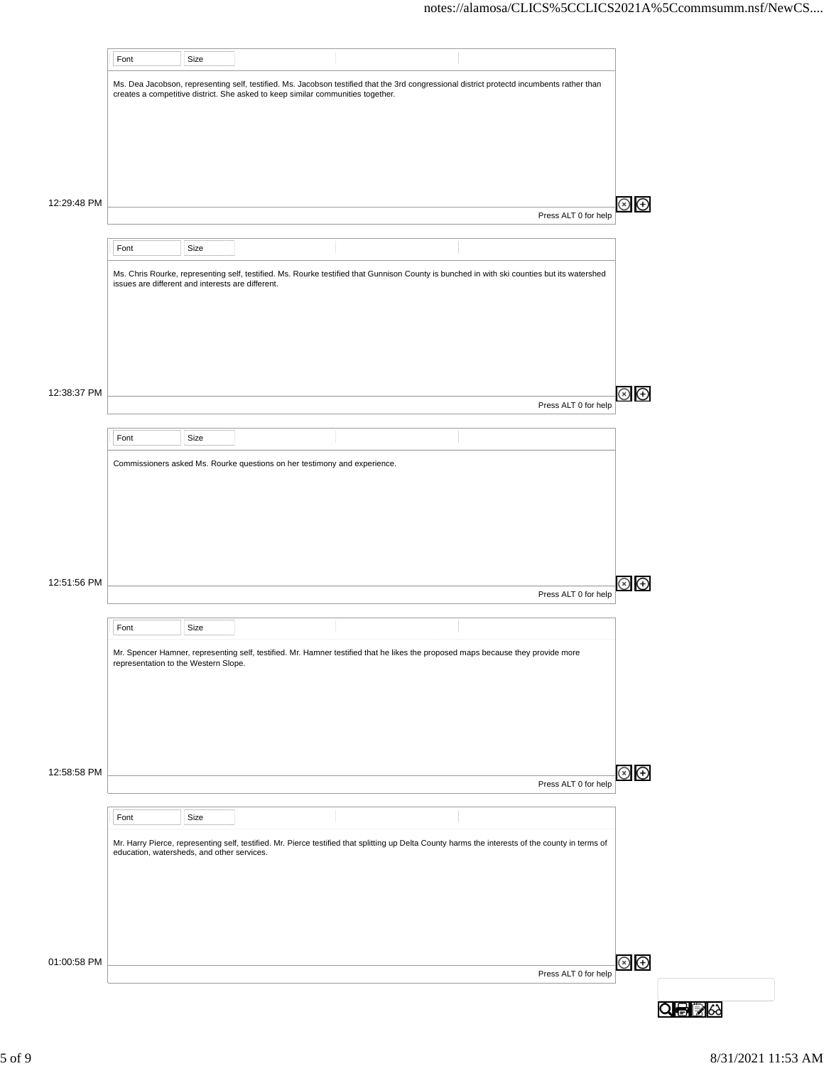|             | Font                                              | Size |                                                                                 |                                                                                                                                                   |                      |                              |         |
|-------------|---------------------------------------------------|------|---------------------------------------------------------------------------------|---------------------------------------------------------------------------------------------------------------------------------------------------|----------------------|------------------------------|---------|
|             |                                                   |      | creates a competitive district. She asked to keep similar communities together. | Ms. Dea Jacobson, representing self, testified. Ms. Jacobson testified that the 3rd congressional district protectd incumbents rather than        |                      |                              |         |
|             |                                                   |      |                                                                                 |                                                                                                                                                   |                      |                              |         |
|             |                                                   |      |                                                                                 |                                                                                                                                                   |                      |                              |         |
| 12:29:48 PM |                                                   |      |                                                                                 |                                                                                                                                                   |                      | $\bigoplus$                  |         |
|             |                                                   |      |                                                                                 |                                                                                                                                                   | Press ALT 0 for help |                              |         |
|             | Font                                              | Size |                                                                                 |                                                                                                                                                   |                      |                              |         |
|             | issues are different and interests are different. |      |                                                                                 | Ms. Chris Rourke, representing self, testified. Ms. Rourke testified that Gunnison County is bunched in with ski counties but its watershed       |                      |                              |         |
|             |                                                   |      |                                                                                 |                                                                                                                                                   |                      |                              |         |
|             |                                                   |      |                                                                                 |                                                                                                                                                   |                      |                              |         |
|             |                                                   |      |                                                                                 |                                                                                                                                                   |                      |                              |         |
| 12:38:37 PM |                                                   |      |                                                                                 |                                                                                                                                                   | Press ALT 0 for help | $\bigoplus$<br>$\mathbf{x})$ |         |
|             |                                                   |      |                                                                                 |                                                                                                                                                   |                      |                              |         |
|             | Font                                              | Size |                                                                                 |                                                                                                                                                   |                      |                              |         |
|             |                                                   |      | Commissioners asked Ms. Rourke questions on her testimony and experience.       |                                                                                                                                                   |                      |                              |         |
|             |                                                   |      |                                                                                 |                                                                                                                                                   |                      |                              |         |
|             |                                                   |      |                                                                                 |                                                                                                                                                   |                      |                              |         |
|             |                                                   |      |                                                                                 |                                                                                                                                                   |                      |                              |         |
| 12:51:56 PM |                                                   |      |                                                                                 |                                                                                                                                                   | Press ALT 0 for help | $\bigoplus$<br>$\circledast$ |         |
|             | Font                                              | Size |                                                                                 |                                                                                                                                                   |                      |                              |         |
|             |                                                   |      |                                                                                 | Mr. Spencer Hamner, representing self, testified. Mr. Hamner testified that he likes the proposed maps because they provide more                  |                      |                              |         |
|             | representation to the Western Slope.              |      |                                                                                 |                                                                                                                                                   |                      |                              |         |
|             |                                                   |      |                                                                                 |                                                                                                                                                   |                      |                              |         |
|             |                                                   |      |                                                                                 |                                                                                                                                                   |                      |                              |         |
| 12:58:58 PM |                                                   |      |                                                                                 |                                                                                                                                                   |                      | $\circledast$                |         |
|             |                                                   |      |                                                                                 |                                                                                                                                                   | Press ALT 0 for help |                              |         |
|             | Font                                              | Size |                                                                                 |                                                                                                                                                   |                      |                              |         |
|             | education, watersheds, and other services.        |      |                                                                                 | Mr. Harry Pierce, representing self, testified. Mr. Pierce testified that splitting up Delta County harms the interests of the county in terms of |                      |                              |         |
|             |                                                   |      |                                                                                 |                                                                                                                                                   |                      |                              |         |
|             |                                                   |      |                                                                                 |                                                                                                                                                   |                      |                              |         |
|             |                                                   |      |                                                                                 |                                                                                                                                                   |                      |                              |         |
| 01:00:58 PM |                                                   |      |                                                                                 |                                                                                                                                                   |                      | $\circledcirc$               |         |
|             |                                                   |      |                                                                                 |                                                                                                                                                   | Press ALT 0 for help |                              |         |
|             |                                                   |      |                                                                                 |                                                                                                                                                   |                      |                              | Q骨  ≫ ☆ |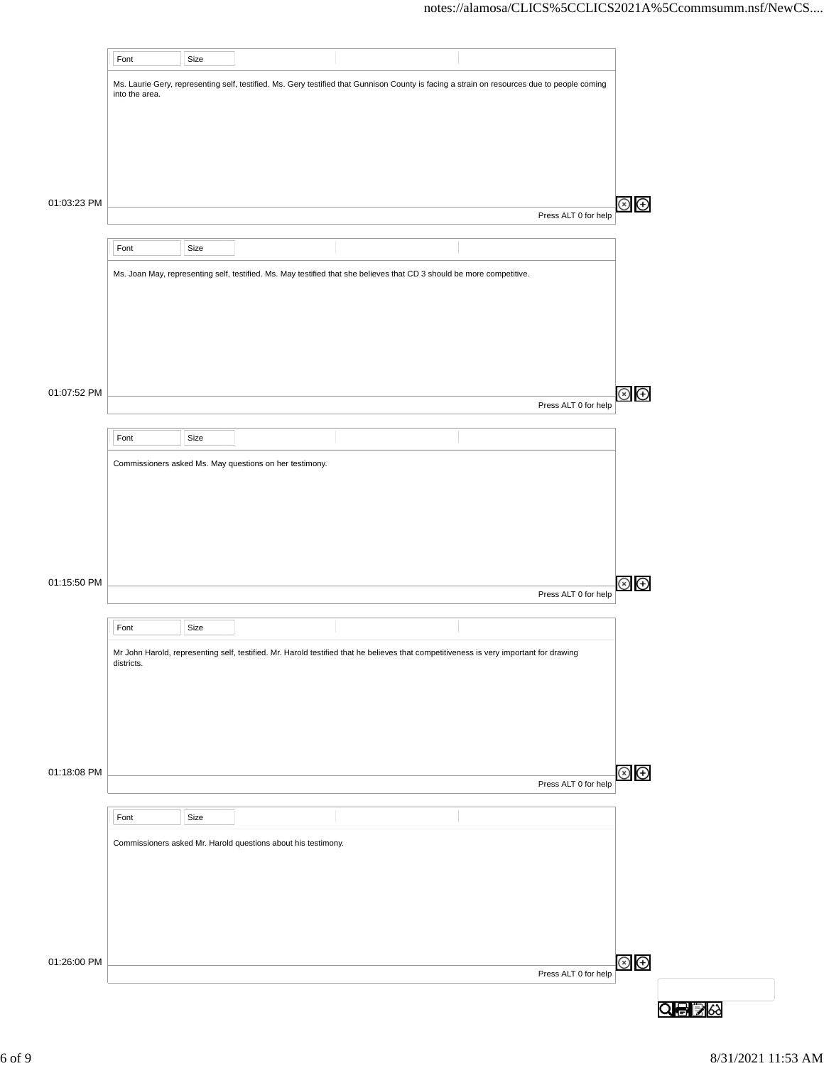|             | Font           | Size |                                                               |                                                                                                                                             |                      |  |
|-------------|----------------|------|---------------------------------------------------------------|---------------------------------------------------------------------------------------------------------------------------------------------|----------------------|--|
|             | into the area. |      |                                                               | Ms. Laurie Gery, representing self, testified. Ms. Gery testified that Gunnison County is facing a strain on resources due to people coming |                      |  |
|             |                |      |                                                               |                                                                                                                                             |                      |  |
|             |                |      |                                                               |                                                                                                                                             |                      |  |
|             |                |      |                                                               |                                                                                                                                             |                      |  |
| 01:03:23 PM |                |      |                                                               |                                                                                                                                             |                      |  |
|             |                |      |                                                               |                                                                                                                                             | Press ALT 0 for help |  |
|             | Font           | Size |                                                               |                                                                                                                                             |                      |  |
|             |                |      |                                                               | Ms. Joan May, representing self, testified. Ms. May testified that she believes that CD 3 should be more competitive.                       |                      |  |
|             |                |      |                                                               |                                                                                                                                             |                      |  |
|             |                |      |                                                               |                                                                                                                                             |                      |  |
|             |                |      |                                                               |                                                                                                                                             |                      |  |
|             |                |      |                                                               |                                                                                                                                             |                      |  |
| 01:07:52 PM |                |      |                                                               |                                                                                                                                             | Press ALT 0 for help |  |
|             | Font           | Size |                                                               |                                                                                                                                             |                      |  |
|             |                |      | Commissioners asked Ms. May questions on her testimony.       |                                                                                                                                             |                      |  |
|             |                |      |                                                               |                                                                                                                                             |                      |  |
|             |                |      |                                                               |                                                                                                                                             |                      |  |
|             |                |      |                                                               |                                                                                                                                             |                      |  |
|             |                |      |                                                               |                                                                                                                                             |                      |  |
| 01:15:50 PM |                |      |                                                               |                                                                                                                                             |                      |  |
|             |                |      |                                                               |                                                                                                                                             | Press ALT 0 for help |  |
|             | Font           | Size |                                                               |                                                                                                                                             |                      |  |
|             | districts.     |      |                                                               | Mr John Harold, representing self, testified. Mr. Harold testified that he believes that competitiveness is very important for drawing      |                      |  |
|             |                |      |                                                               |                                                                                                                                             |                      |  |
|             |                |      |                                                               |                                                                                                                                             |                      |  |
|             |                |      |                                                               |                                                                                                                                             |                      |  |
|             |                |      |                                                               |                                                                                                                                             |                      |  |
| 01:18:08 PM |                |      |                                                               |                                                                                                                                             | Press ALT 0 for help |  |
|             | Font           | Size |                                                               |                                                                                                                                             |                      |  |
|             |                |      | Commissioners asked Mr. Harold questions about his testimony. |                                                                                                                                             |                      |  |
|             |                |      |                                                               |                                                                                                                                             |                      |  |
|             |                |      |                                                               |                                                                                                                                             |                      |  |
|             |                |      |                                                               |                                                                                                                                             |                      |  |
|             |                |      |                                                               |                                                                                                                                             |                      |  |
| 01:26:00 PM |                |      |                                                               |                                                                                                                                             |                      |  |
|             |                |      |                                                               |                                                                                                                                             | Press ALT 0 for help |  |
|             |                |      |                                                               |                                                                                                                                             |                      |  |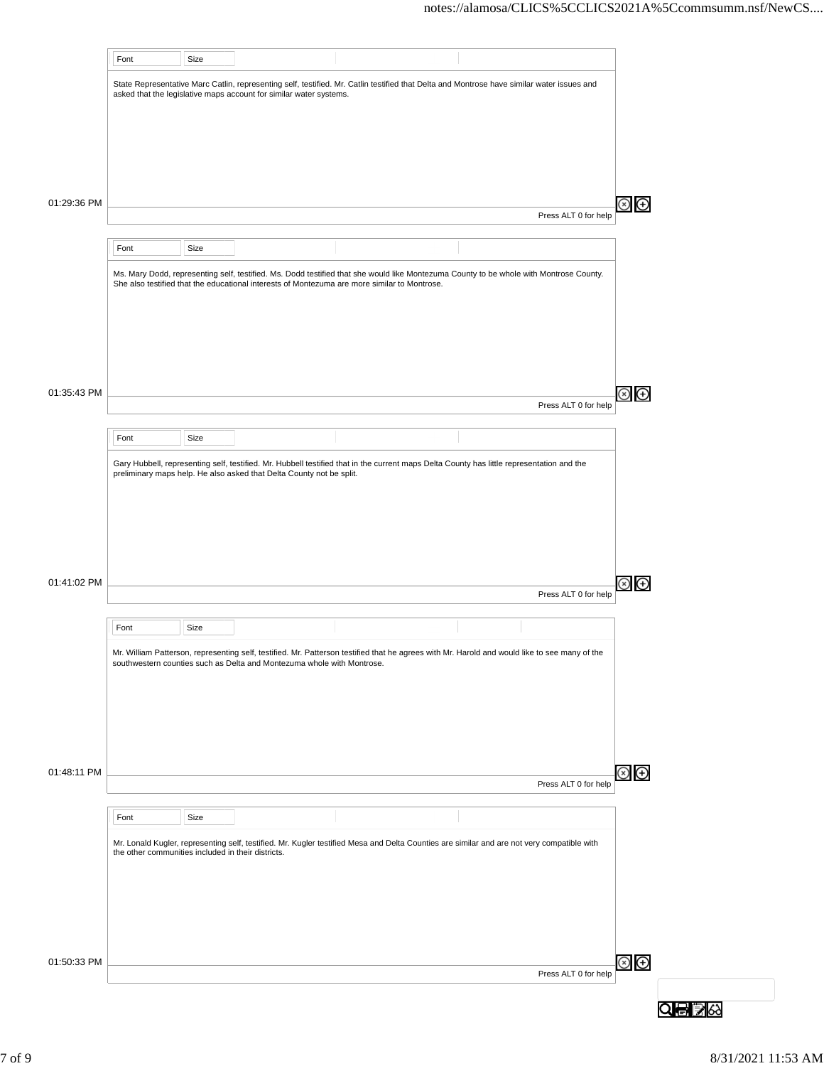|             | Font                                               | Size |                                                                        |                                                                                                                                               |                      |                                                         |
|-------------|----------------------------------------------------|------|------------------------------------------------------------------------|-----------------------------------------------------------------------------------------------------------------------------------------------|----------------------|---------------------------------------------------------|
|             |                                                    |      | asked that the legislative maps account for similar water systems.     | State Representative Marc Catlin, representing self, testified. Mr. Catlin testified that Delta and Montrose have similar water issues and    |                      |                                                         |
|             |                                                    |      |                                                                        |                                                                                                                                               |                      |                                                         |
|             |                                                    |      |                                                                        |                                                                                                                                               |                      |                                                         |
|             |                                                    |      |                                                                        |                                                                                                                                               |                      |                                                         |
| 01:29:36 PM |                                                    |      |                                                                        |                                                                                                                                               | Press ALT 0 for help | $\left( \begin{smallmatrix} +\end{smallmatrix} \right)$ |
|             | Font                                               | Size |                                                                        |                                                                                                                                               |                      |                                                         |
|             |                                                    |      |                                                                        | Ms. Mary Dodd, representing self, testified. Ms. Dodd testified that she would like Montezuma County to be whole with Montrose County.        |                      |                                                         |
|             |                                                    |      |                                                                        | She also testified that the educational interests of Montezuma are more similar to Montrose.                                                  |                      |                                                         |
|             |                                                    |      |                                                                        |                                                                                                                                               |                      |                                                         |
|             |                                                    |      |                                                                        |                                                                                                                                               |                      |                                                         |
| 01:35:43 PM |                                                    |      |                                                                        |                                                                                                                                               |                      | ⊕                                                       |
|             |                                                    |      |                                                                        |                                                                                                                                               | Press ALT 0 for help |                                                         |
|             | Font                                               | Size |                                                                        |                                                                                                                                               |                      |                                                         |
|             |                                                    |      | preliminary maps help. He also asked that Delta County not be split.   | Gary Hubbell, representing self, testified. Mr. Hubbell testified that in the current maps Delta County has little representation and the     |                      |                                                         |
|             |                                                    |      |                                                                        |                                                                                                                                               |                      |                                                         |
|             |                                                    |      |                                                                        |                                                                                                                                               |                      |                                                         |
|             |                                                    |      |                                                                        |                                                                                                                                               |                      |                                                         |
| 01:41:02 PM |                                                    |      |                                                                        |                                                                                                                                               | Press ALT 0 for help | $\rm \scriptstyle{(+)}$                                 |
|             | Font                                               | Size |                                                                        |                                                                                                                                               |                      |                                                         |
|             |                                                    |      |                                                                        | Mr. William Patterson, representing self, testified. Mr. Patterson testified that he agrees with Mr. Harold and would like to see many of the |                      |                                                         |
|             |                                                    |      | southwestern counties such as Delta and Montezuma whole with Montrose. |                                                                                                                                               |                      |                                                         |
|             |                                                    |      |                                                                        |                                                                                                                                               |                      |                                                         |
|             |                                                    |      |                                                                        |                                                                                                                                               |                      |                                                         |
|             |                                                    |      |                                                                        |                                                                                                                                               |                      | ⊗<br>⊕                                                  |
| 01:48:11 PM |                                                    |      |                                                                        |                                                                                                                                               | Press ALT 0 for help |                                                         |
|             | Font                                               | Size |                                                                        |                                                                                                                                               |                      |                                                         |
|             | the other communities included in their districts. |      |                                                                        | Mr. Lonald Kugler, representing self, testified. Mr. Kugler testified Mesa and Delta Counties are similar and are not very compatible with    |                      |                                                         |
|             |                                                    |      |                                                                        |                                                                                                                                               |                      |                                                         |
|             |                                                    |      |                                                                        |                                                                                                                                               |                      |                                                         |
|             |                                                    |      |                                                                        |                                                                                                                                               |                      |                                                         |
| 01:50:33 PM |                                                    |      |                                                                        |                                                                                                                                               |                      | $\odot$ $\odot$                                         |
|             |                                                    |      |                                                                        |                                                                                                                                               | Press ALT 0 for help |                                                         |
|             |                                                    |      |                                                                        |                                                                                                                                               |                      |                                                         |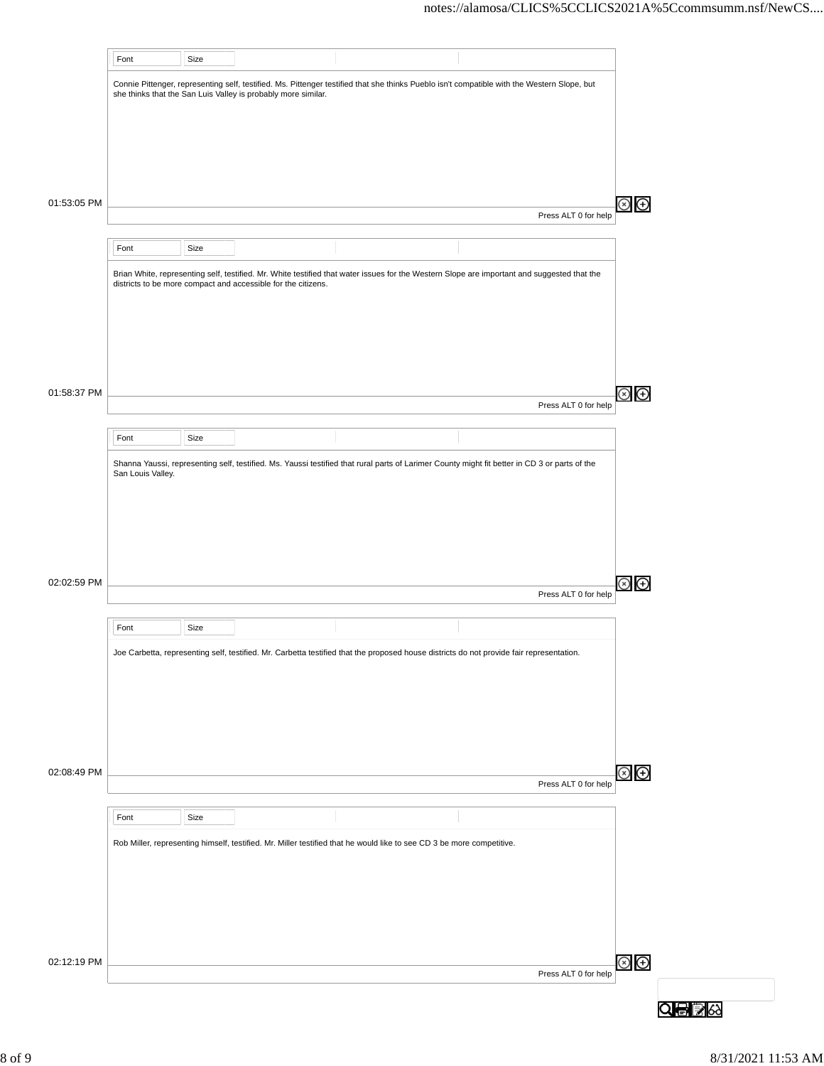|             | Font              | Size |                                                               |                                                                                                                                               |                      |                |
|-------------|-------------------|------|---------------------------------------------------------------|-----------------------------------------------------------------------------------------------------------------------------------------------|----------------------|----------------|
|             |                   |      | she thinks that the San Luis Valley is probably more similar. | Connie Pittenger, representing self, testified. Ms. Pittenger testified that she thinks Pueblo isn't compatible with the Western Slope, but   |                      |                |
|             |                   |      |                                                               |                                                                                                                                               |                      |                |
|             |                   |      |                                                               |                                                                                                                                               |                      |                |
|             |                   |      |                                                               |                                                                                                                                               |                      |                |
| 01:53:05 PM |                   |      |                                                               |                                                                                                                                               | Press ALT 0 for help | Θ<br>(x)       |
|             |                   |      |                                                               |                                                                                                                                               |                      |                |
|             | Font              | Size |                                                               |                                                                                                                                               |                      |                |
|             |                   |      | districts to be more compact and accessible for the citizens. | Brian White, representing self, testified. Mr. White testified that water issues for the Western Slope are important and suggested that the   |                      |                |
|             |                   |      |                                                               |                                                                                                                                               |                      |                |
|             |                   |      |                                                               |                                                                                                                                               |                      |                |
|             |                   |      |                                                               |                                                                                                                                               |                      |                |
| 01:58:37 PM |                   |      |                                                               |                                                                                                                                               | Press ALT 0 for help | ⊕              |
|             |                   |      |                                                               |                                                                                                                                               |                      |                |
|             | Font              | Size |                                                               |                                                                                                                                               |                      |                |
|             | San Louis Valley. |      |                                                               | Shanna Yaussi, representing self, testified. Ms. Yaussi testified that rural parts of Larimer County might fit better in CD 3 or parts of the |                      |                |
|             |                   |      |                                                               |                                                                                                                                               |                      |                |
|             |                   |      |                                                               |                                                                                                                                               |                      |                |
|             |                   |      |                                                               |                                                                                                                                               |                      |                |
| 02:02:59 PM |                   |      |                                                               |                                                                                                                                               | Press ALT 0 for help | Θ              |
|             |                   |      |                                                               |                                                                                                                                               |                      |                |
|             | Font              | Size |                                                               |                                                                                                                                               |                      |                |
|             |                   |      |                                                               | Joe Carbetta, representing self, testified. Mr. Carbetta testified that the proposed house districts do not provide fair representation.      |                      |                |
|             |                   |      |                                                               |                                                                                                                                               |                      |                |
|             |                   |      |                                                               |                                                                                                                                               |                      |                |
|             |                   |      |                                                               |                                                                                                                                               |                      |                |
| 02:08:49 PM |                   |      |                                                               |                                                                                                                                               | Press ALT 0 for help | $\circledast$  |
|             |                   |      |                                                               |                                                                                                                                               |                      |                |
|             | Font              | Size |                                                               |                                                                                                                                               |                      |                |
|             |                   |      |                                                               | Rob Miller, representing himself, testified. Mr. Miller testified that he would like to see CD 3 be more competitive.                         |                      |                |
|             |                   |      |                                                               |                                                                                                                                               |                      |                |
|             |                   |      |                                                               |                                                                                                                                               |                      |                |
|             |                   |      |                                                               |                                                                                                                                               |                      |                |
| 02:12:19 PM |                   |      |                                                               |                                                                                                                                               | Press ALT 0 for help | $\circledcirc$ |
|             |                   |      |                                                               |                                                                                                                                               |                      |                |
|             |                   |      |                                                               |                                                                                                                                               |                      |                |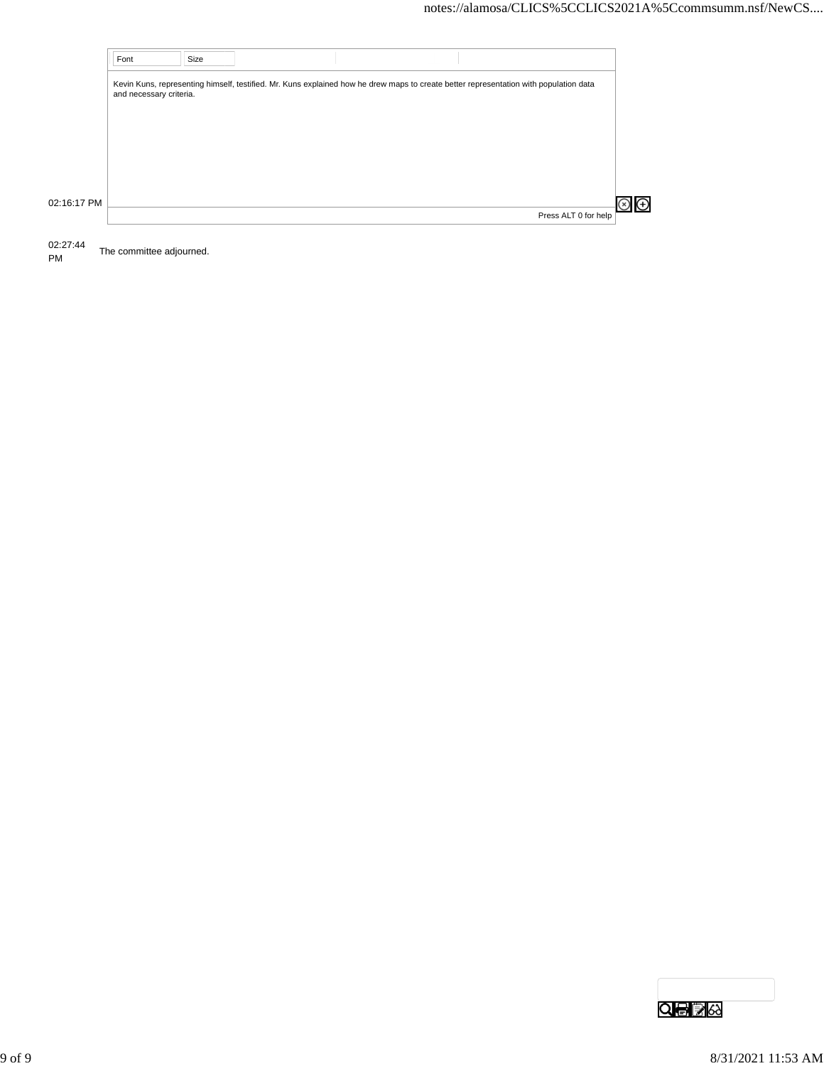|             | Font                    | Size |                                                                                                                                       |                      |  |
|-------------|-------------------------|------|---------------------------------------------------------------------------------------------------------------------------------------|----------------------|--|
|             | and necessary criteria. |      | Kevin Kuns, representing himself, testified. Mr. Kuns explained how he drew maps to create better representation with population data |                      |  |
|             |                         |      |                                                                                                                                       |                      |  |
|             |                         |      |                                                                                                                                       |                      |  |
| 02:16:17 PM |                         |      |                                                                                                                                       | Press ALT 0 for help |  |

02:27:44

The committee adjourned.